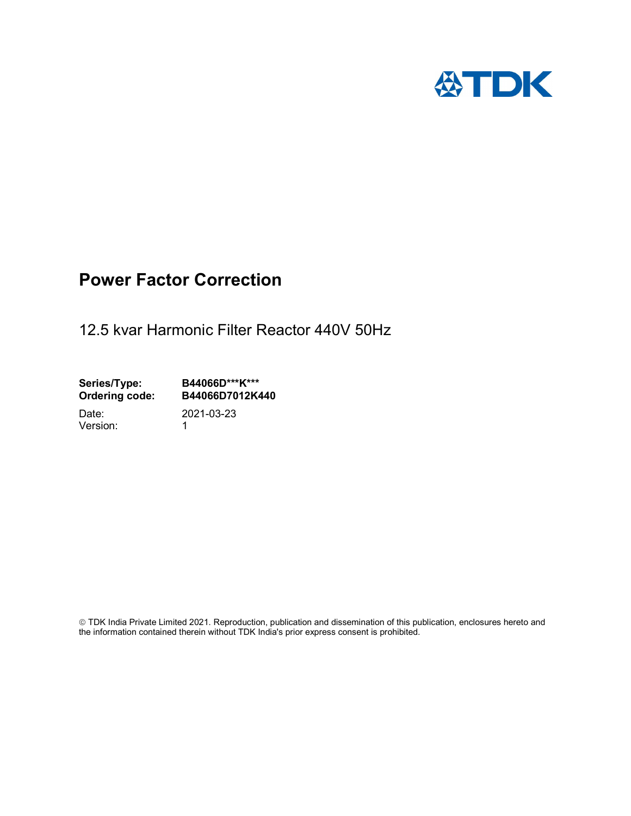

## Power Factor Correction

12.5 kvar Harmonic Filter Reactor 440V 50Hz

Series/Type: B44066D\*\*\*K\*\*\*<br>Ordering code: B44066D7012K4 B44066D7012K440 Date: 2021-03-23

Version: 1

 TDK India Private Limited 2021. Reproduction, publication and dissemination of this publication, enclosures hereto and the information contained therein without TDK India's prior express consent is prohibited.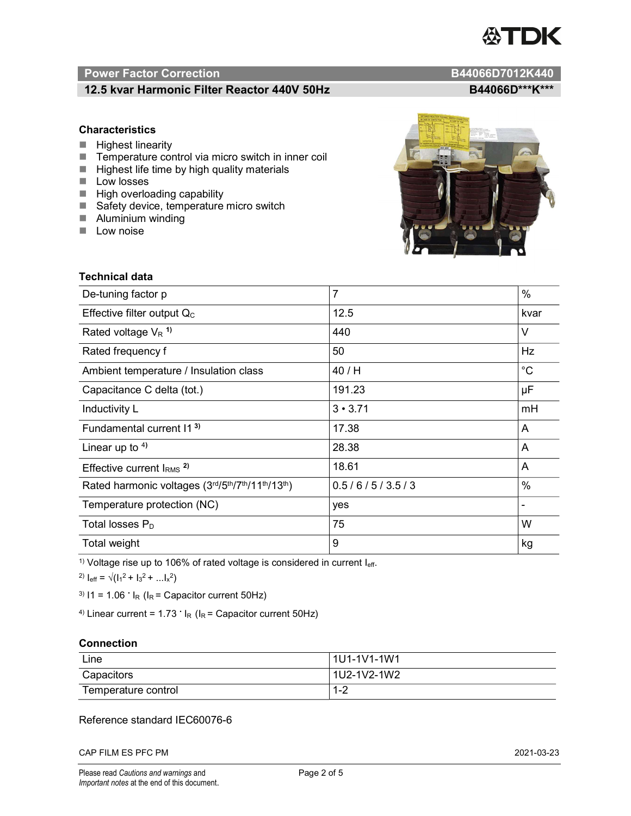# TDK

### Power Factor Correction and Content of the Content of the B44066D7012K440

### 12.5 kvar Harmonic Filter Reactor 440V 50Hz BA4066D\*\*\*K\*\*\*

### **Characteristics**

- $\blacksquare$  Highest linearity
- Temperature control via micro switch in inner coil
- $\blacksquare$  Highest life time by high quality materials
- **Low losses**
- $\blacksquare$  High overloading capability
- Safety device, temperature micro switch
- **Aluminium winding**
- **Low noise**



| Technical data                                  |                |             |  |
|-------------------------------------------------|----------------|-------------|--|
| De-tuning factor p                              | $\overline{7}$ | %           |  |
| Effective filter output $Q_C$                   | 12.5           | kvar        |  |
| Rated voltage $V_R$ <sup>1)</sup>               | 440            | V           |  |
| Rated frequency f                               | 50             | Hz          |  |
| Ambient temperature / Insulation class          | 40 / H         | $^{\circ}C$ |  |
| Capacitance C delta (tot.)                      | 191.23         | μF          |  |
| Inductivity L                                   | $3 \cdot 3.71$ | mH          |  |
| Fundamental current 11 <sup>3)</sup>            | 17.38          | A           |  |
| Linear up to $4$ )                              | 28.38          | A           |  |
| Effective current $IRMS$ <sup>2)</sup>          | 18.61          | A           |  |
| Rated harmonic voltages (3rd/5th/7th/11th/13th) | 0.5/6/5/3.5/3  | %           |  |
| Temperature protection (NC)                     | yes            |             |  |
| Total losses $P_D$                              | 75             | W           |  |
| Total weight                                    | 9              | kg          |  |

<sup>1)</sup> Voltage rise up to 106% of rated voltage is considered in current  $I_{\text{eff}}$ .

<sup>2)</sup>  $I_{eff} = \sqrt{(I_1^2 + I_3^2 + ... I_x^2)}$ 

<sup>3)</sup>  $11 = 1.06$   $\cdot$   $I_R$  ( $I_R$  = Capacitor current 50Hz)

<sup>4)</sup> Linear current =  $1.73$   $\cdot$  I<sub>R</sub> (I<sub>R</sub> = Capacitor current 50Hz)

### **Connection**

| Line                | l 1U1-1V1-1W1       |
|---------------------|---------------------|
| Capacitors          | l 1U2-1V2-1W2       |
| Temperature control | <u> 4 ຕ</u><br>ے- ا |

### Reference standard IEC60076-6

CAP FILM ES PFC PM 2021-03-23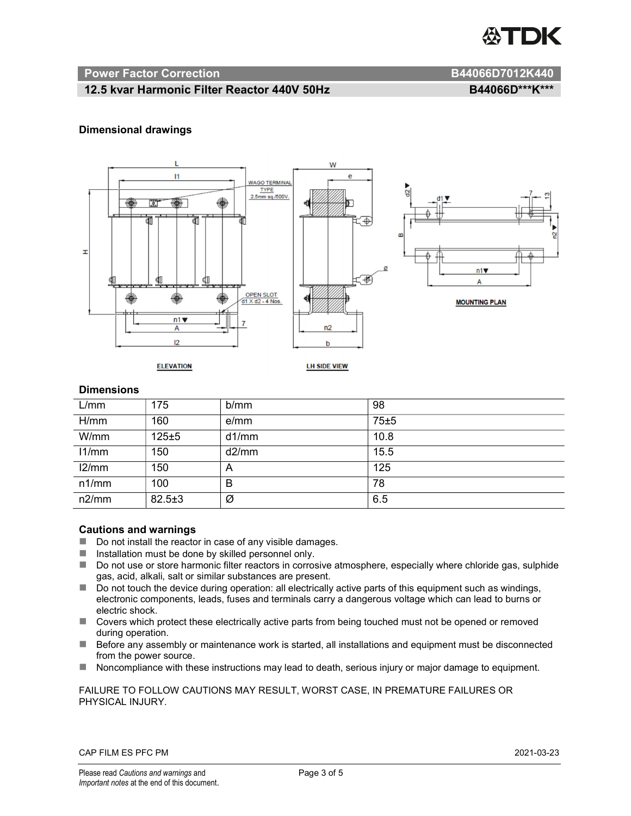

### Power Factor Correction and B44066D7012K440

### 12.5 kvar Harmonic Filter Reactor 440V 50Hz BA4066D\*\*\*K\*\*\*

### Dimensional drawings



### **Dimensions**

| L/mm  | 175          | b/mm  | 98   |
|-------|--------------|-------|------|
| H/mm  | 160          | e/mm  | 75±5 |
| W/mm  | $125 \pm 5$  | d1/mm | 10.8 |
| 11/mm | 150          | d2/mm | 15.5 |
| 12/mm | 150          | A     | 125  |
| n1/mm | 100          | B     | 78   |
| n2/mm | $82.5 \pm 3$ | Ø     | 6.5  |

### Cautions and warnings

- Do not install the reactor in case of any visible damages.
- $\blacksquare$  Installation must be done by skilled personnel only.
- Do not use or store harmonic filter reactors in corrosive atmosphere, especially where chloride gas, sulphide gas, acid, alkali, salt or similar substances are present.
- $\Box$  Do not touch the device during operation: all electrically active parts of this equipment such as windings, electronic components, leads, fuses and terminals carry a dangerous voltage which can lead to burns or electric shock.
- Covers which protect these electrically active parts from being touched must not be opened or removed during operation.
- Before any assembly or maintenance work is started, all installations and equipment must be disconnected from the power source.
- Noncompliance with these instructions may lead to death, serious injury or major damage to equipment.

### FAILURE TO FOLLOW CAUTIONS MAY RESULT, WORST CASE, IN PREMATURE FAILURES OR PHYSICAL INJURY.

### CAP FILM ES PFC PM 2021-03-23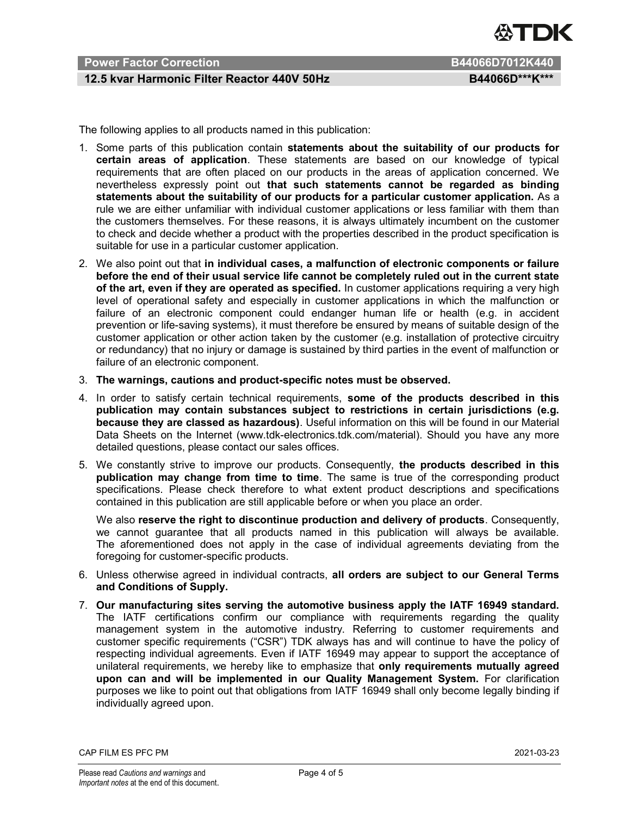

### Power Factor Correction **B44066D7012K440**

### 12.5 kvar Harmonic Filter Reactor 440V 50Hz BA4066D\*\*\*K\*\*\*

The following applies to all products named in this publication:

- 1. Some parts of this publication contain statements about the suitability of our products for certain areas of application. These statements are based on our knowledge of typical requirements that are often placed on our products in the areas of application concerned. We nevertheless expressly point out that such statements cannot be regarded as binding statements about the suitability of our products for a particular customer application. As a rule we are either unfamiliar with individual customer applications or less familiar with them than the customers themselves. For these reasons, it is always ultimately incumbent on the customer to check and decide whether a product with the properties described in the product specification is suitable for use in a particular customer application.
- 2. We also point out that in individual cases, a malfunction of electronic components or failure before the end of their usual service life cannot be completely ruled out in the current state of the art, even if they are operated as specified. In customer applications requiring a very high level of operational safety and especially in customer applications in which the malfunction or failure of an electronic component could endanger human life or health (e.g. in accident prevention or life-saving systems), it must therefore be ensured by means of suitable design of the customer application or other action taken by the customer (e.g. installation of protective circuitry or redundancy) that no injury or damage is sustained by third parties in the event of malfunction or failure of an electronic component.
- 3. The warnings, cautions and product-specific notes must be observed.
- 4. In order to satisfy certain technical requirements, some of the products described in this publication may contain substances subject to restrictions in certain jurisdictions (e.g. because they are classed as hazardous). Useful information on this will be found in our Material Data Sheets on the Internet (www.tdk-electronics.tdk.com/material). Should you have any more detailed questions, please contact our sales offices.
- 5. We constantly strive to improve our products. Consequently, the products described in this publication may change from time to time. The same is true of the corresponding product specifications. Please check therefore to what extent product descriptions and specifications contained in this publication are still applicable before or when you place an order.

We also reserve the right to discontinue production and delivery of products. Consequently, we cannot guarantee that all products named in this publication will always be available. The aforementioned does not apply in the case of individual agreements deviating from the foregoing for customer-specific products.

- 6. Unless otherwise agreed in individual contracts, all orders are subject to our General Terms and Conditions of Supply.
- 7. Our manufacturing sites serving the automotive business apply the IATF 16949 standard. The IATF certifications confirm our compliance with requirements regarding the quality management system in the automotive industry. Referring to customer requirements and customer specific requirements ("CSR") TDK always has and will continue to have the policy of respecting individual agreements. Even if IATF 16949 may appear to support the acceptance of unilateral requirements, we hereby like to emphasize that only requirements mutually agreed upon can and will be implemented in our Quality Management System. For clarification purposes we like to point out that obligations from IATF 16949 shall only become legally binding if individually agreed upon.